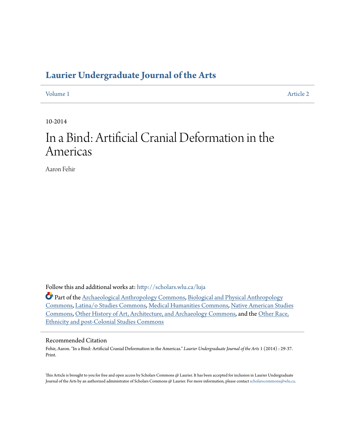# **[Laurier Undergraduate Journal of the Arts](http://scholars.wlu.ca/luja?utm_source=scholars.wlu.ca%2Fluja%2Fvol1%2Fiss1%2F2&utm_medium=PDF&utm_campaign=PDFCoverPages)**

[Volume 1](http://scholars.wlu.ca/luja/vol1?utm_source=scholars.wlu.ca%2Fluja%2Fvol1%2Fiss1%2F2&utm_medium=PDF&utm_campaign=PDFCoverPages) [Article 2](http://scholars.wlu.ca/luja/vol1/iss1/2?utm_source=scholars.wlu.ca%2Fluja%2Fvol1%2Fiss1%2F2&utm_medium=PDF&utm_campaign=PDFCoverPages)

10-2014

# In a Bind: Artificial Cranial Deformation in the Americas

Aaron Fehir

Follow this and additional works at: [http://scholars.wlu.ca/luja](http://scholars.wlu.ca/luja?utm_source=scholars.wlu.ca%2Fluja%2Fvol1%2Fiss1%2F2&utm_medium=PDF&utm_campaign=PDFCoverPages)

Part of the [Archaeological Anthropology Commons,](http://network.bepress.com/hgg/discipline/319?utm_source=scholars.wlu.ca%2Fluja%2Fvol1%2Fiss1%2F2&utm_medium=PDF&utm_campaign=PDFCoverPages) [Biological and Physical Anthropology](http://network.bepress.com/hgg/discipline/320?utm_source=scholars.wlu.ca%2Fluja%2Fvol1%2Fiss1%2F2&utm_medium=PDF&utm_campaign=PDFCoverPages) [Commons,](http://network.bepress.com/hgg/discipline/320?utm_source=scholars.wlu.ca%2Fluja%2Fvol1%2Fiss1%2F2&utm_medium=PDF&utm_campaign=PDFCoverPages) [Latina/o Studies Commons](http://network.bepress.com/hgg/discipline/1315?utm_source=scholars.wlu.ca%2Fluja%2Fvol1%2Fiss1%2F2&utm_medium=PDF&utm_campaign=PDFCoverPages), [Medical Humanities Commons](http://network.bepress.com/hgg/discipline/1303?utm_source=scholars.wlu.ca%2Fluja%2Fvol1%2Fiss1%2F2&utm_medium=PDF&utm_campaign=PDFCoverPages), [Native American Studies](http://network.bepress.com/hgg/discipline/571?utm_source=scholars.wlu.ca%2Fluja%2Fvol1%2Fiss1%2F2&utm_medium=PDF&utm_campaign=PDFCoverPages) [Commons,](http://network.bepress.com/hgg/discipline/571?utm_source=scholars.wlu.ca%2Fluja%2Fvol1%2Fiss1%2F2&utm_medium=PDF&utm_campaign=PDFCoverPages) [Other History of Art, Architecture, and Archaeology Commons](http://network.bepress.com/hgg/discipline/517?utm_source=scholars.wlu.ca%2Fluja%2Fvol1%2Fiss1%2F2&utm_medium=PDF&utm_campaign=PDFCoverPages), and the [Other Race,](http://network.bepress.com/hgg/discipline/572?utm_source=scholars.wlu.ca%2Fluja%2Fvol1%2Fiss1%2F2&utm_medium=PDF&utm_campaign=PDFCoverPages) [Ethnicity and post-Colonial Studies Commons](http://network.bepress.com/hgg/discipline/572?utm_source=scholars.wlu.ca%2Fluja%2Fvol1%2Fiss1%2F2&utm_medium=PDF&utm_campaign=PDFCoverPages)

#### Recommended Citation

Fehir, Aaron. "In a Bind: Artificial Cranial Deformation in the Americas." *Laurier Undergraduate Journal of the Arts* 1 (2014) : 29-37. Print.

This Article is brought to you for free and open access by Scholars Commons @ Laurier. It has been accepted for inclusion in Laurier Undergraduate Journal of the Arts by an authorized administrator of Scholars Commons @ Laurier. For more information, please contact [scholarscommons@wlu.ca.](mailto:scholarscommons@wlu.ca)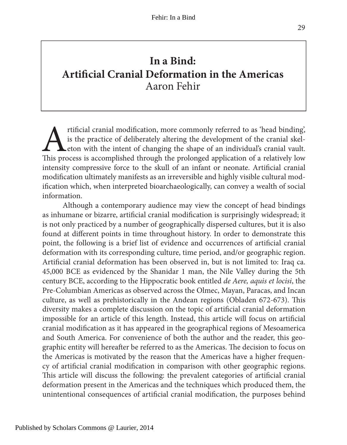## **In a Bind: Artifcial Cranial Deformation in the Americas** Aaron Fehir

rtificial cranial modification, more commonly referred to as 'head binding', is the practice of deliberately altering the development of the cranial skeleton with the intent of changing the shape of an individual's cranial vault. Tis process is accomplished through the prolonged application of a relatively low intensity compressive force to the skull of an infant or neonate. Artifcial cranial modifcation ultimately manifests as an irreversible and highly visible cultural modifcation which, when interpreted bioarchaeologically, can convey a wealth of social information.

Although a contemporary audience may view the concept of head bindings as inhumane or bizarre, artifcial cranial modifcation is surprisingly widespread; it is not only practiced by a number of geographically dispersed cultures, but it is also found at diferent points in time throughout history. In order to demonstrate this point, the following is a brief list of evidence and occurrences of artifcial cranial deformation with its corresponding culture, time period, and/or geographic region. Artifcial cranial deformation has been observed in, but is not limited to: Iraq ca. 45,000 BCE as evidenced by the Shanidar 1 man, the Nile Valley during the 5th century BCE, according to the Hippocratic book entitled de Aere, aquis et locisi, the Pre-Columbian Americas as observed across the Olmec, Mayan, Paracas, and Incan culture, as well as prehistorically in the Andean regions (Obladen 672-673). Tis diversity makes a complete discussion on the topic of artifcial cranial deformation impossible for an article of this length. Instead, this article will focus on artifcial cranial modifcation as it has appeared in the geographical regions of Mesoamerica and South America. For convenience of both the author and the reader, this geographic entity will hereafter be referred to as the Americas. The decision to focus on the Americas is motivated by the reason that the Americas have a higher frequency of artifcial cranial modifcation in comparison with other geographic regions. This article will discuss the following: the prevalent categories of artificial cranial deformation present in the Americas and the techniques which produced them, the unintentional consequences of artifcial cranial modifcation, the purposes behind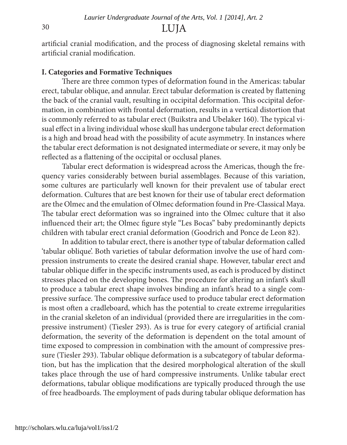### <sup>30</sup> LUJA

artifcial cranial modifcation, and the process of diagnosing skeletal remains with artifcial cranial modifcation.

#### **I. Categories and Formative Techniques**

There are three common types of deformation found in the Americas: tabular erect, tabular oblique, and annular. Erect tabular deformation is created by fattening the back of the cranial vault, resulting in occipital deformation. This occipital deformation, in combination with frontal deformation, results in a vertical distortion that is commonly referred to as tabular erect (Buikstra and Ubelaker 160). The typical visual efect in a living individual whose skull has undergone tabular erect deformation is a high and broad head with the possibility of acute asymmetry. In instances where the tabular erect deformation is not designated intermediate or severe, it may only be refected as a fattening of the occipital or occlusal planes.

Tabular erect deformation is widespread across the Americas, though the frequency varies considerably between burial assemblages. Because of this variation, some cultures are particularly well known for their prevalent use of tabular erect deformation. Cultures that are best known for their use of tabular erect deformation are the Olmec and the emulation of Olmec deformation found in Pre-Classical Maya. The tabular erect deformation was so ingrained into the Olmec culture that it also infuenced their art; the Olmec fgure style "Les Bocas" baby predominantly depicts children with tabular erect cranial deformation (Goodrich and Ponce de Leon 82).

In addition to tabular erect, there is another type of tabular deformation called 'tabular oblique'. Both varieties of tabular deformation involve the use of hard compression instruments to create the desired cranial shape. However, tabular erect and tabular oblique difer in the specifc instruments used, as each is produced by distinct stresses placed on the developing bones. The procedure for altering an infant's skull to produce a tabular erect shape involves binding an infant's head to a single compressive surface. The compressive surface used to produce tabular erect deformation is most ofen a cradleboard, which has the potential to create extreme irregularities in the cranial skeleton of an individual (provided there are irregularities in the compressive instrument) (Tiesler 293). As is true for every category of artifcial cranial deformation, the severity of the deformation is dependent on the total amount of time exposed to compression in combination with the amount of compressive pressure (Tiesler 293). Tabular oblique deformation is a subcategory of tabular deformation, but has the implication that the desired morphological alteration of the skull takes place through the use of hard compressive instruments. Unlike tabular erect deformations, tabular oblique modifcations are typically produced through the use of free headboards. The employment of pads during tabular oblique deformation has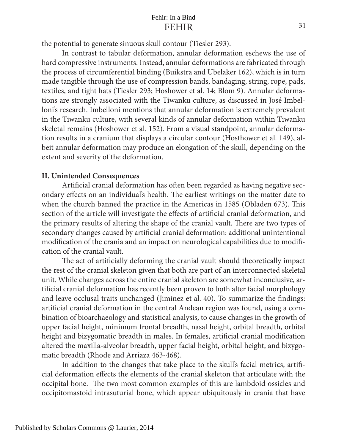### FEHIR Fehir: In a Bind

the potential to generate sinuous skull contour (Tiesler 293).

In contrast to tabular deformation, annular deformation eschews the use of hard compressive instruments. Instead, annular deformations are fabricated through the process of circumferential binding (Buikstra and Ubelaker 162), which is in turn made tangible through the use of compression bands, bandaging, string, rope, pads, textiles, and tight hats (Tiesler 293; Hoshower et al. 14; Blom 9). Annular deformations are strongly associated with the Tiwanku culture, as discussed in José Imbelloni's research. Imbelloni mentions that annular deformation is extremely prevalent in the Tiwanku culture, with several kinds of annular deformation within Tiwanku skeletal remains (Hoshower et al. 152). From a visual standpoint, annular deformation results in a cranium that displays a circular contour (Hosthower et al. 149), albeit annular deformation may produce an elongation of the skull, depending on the extent and severity of the deformation.

#### **II. Unintended Consequences**

Artificial cranial deformation has often been regarded as having negative secondary effects on an individual's health. The earliest writings on the matter date to when the church banned the practice in the Americas in 1585 (Obladen 673). This section of the article will investigate the efects of artifcial cranial deformation, and the primary results of altering the shape of the cranial vault. There are two types of secondary changes caused by artifcial cranial deformation: additional unintentional modifcation of the crania and an impact on neurological capabilities due to modifcation of the cranial vault.

The act of artificially deforming the cranial vault should theoretically impact the rest of the cranial skeleton given that both are part of an interconnected skeletal unit. While changes across the entire cranial skeleton are somewhat inconclusive, artifcial cranial deformation has recently been proven to both alter facial morphology and leave occlusal traits unchanged (Jiminez et al. 40). To summarize the fndings: artifcial cranial deformation in the central Andean region was found, using a combination of bioarchaeology and statistical analysis, to cause changes in the growth of upper facial height, minimum frontal breadth, nasal height, orbital breadth, orbital height and bizygomatic breadth in males. In females, artifcial cranial modifcation altered the maxilla-alveolar breadth, upper facial height, orbital height, and bizygomatic breadth (Rhode and Arriaza 463-468).

In addition to the changes that take place to the skull's facial metrics, artifcial deformation efects the elements of the cranial skeleton that articulate with the occipital bone. The two most common examples of this are lambdoid ossicles and occipitomastoid intrasuturial bone, which appear ubiquitously in crania that have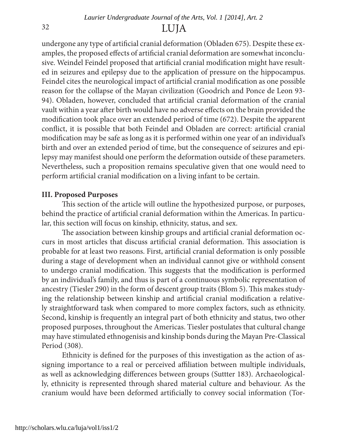### <sup>32</sup> LUJA

undergone any type of artifcial cranial deformation (Obladen 675). Despite these examples, the proposed efects of artifcial cranial deformation are somewhat inconclusive. Weindel Feindel proposed that artifcial cranial modifcation might have resulted in seizures and epilepsy due to the application of pressure on the hippocampus. Feindel cites the neurological impact of artifcial cranial modifcation as one possible reason for the collapse of the Mayan civilization (Goodrich and Ponce de Leon 93- 94). Obladen, however, concluded that artifcial cranial deformation of the cranial vault within a year afer birth would have no adverse efects on the brain provided the modifcation took place over an extended period of time (672). Despite the apparent confict, it is possible that both Feindel and Obladen are correct: artifcial cranial modifcation may be safe as long as it is performed within one year of an individual's birth and over an extended period of time, but the consequence of seizures and epilepsy may manifest should one perform the deformation outside of these parameters. Nevertheless, such a proposition remains speculative given that one would need to perform artifcial cranial modifcation on a living infant to be certain.

#### **III. Proposed Purposes**

This section of the article will outline the hypothesized purpose, or purposes, behind the practice of artifcial cranial deformation within the Americas. In particular, this section will focus on kinship, ethnicity, status, and sex.

The association between kinship groups and artificial cranial deformation occurs in most articles that discuss artificial cranial deformation. This association is probable for at least two reasons. First, artifcial cranial deformation is only possible during a stage of development when an individual cannot give or withhold consent to undergo cranial modification. This suggests that the modification is performed by an individual's family, and thus is part of a continuous symbolic representation of ancestry (Tiesler 290) in the form of descent group traits (Blom 5). This makes studying the relationship between kinship and artifcial cranial modifcation a relatively straightforward task when compared to more complex factors, such as ethnicity. Second, kinship is frequently an integral part of both ethnicity and status, two other proposed purposes, throughout the Americas. Tiesler postulates that cultural change may have stimulated ethnogenisis and kinship bonds during the Mayan Pre-Classical Period (308).

Ethnicity is defned for the purposes of this investigation as the action of assigning importance to a real or perceived afliation between multiple individuals, as well as acknowledging diferences between groups (Suttter 183). Archaeologically, ethnicity is represented through shared material culture and behaviour. As the cranium would have been deformed artifcially to convey social information (Tor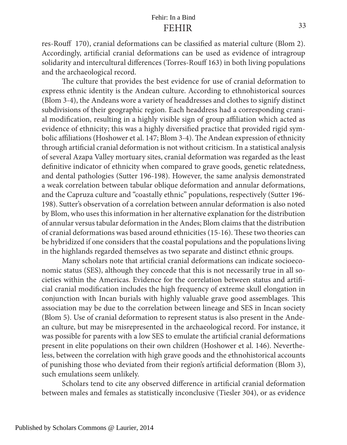res-Rouff 170), cranial deformations can be classified as material culture (Blom 2). Accordingly, artifcial cranial deformations can be used as evidence of intragroup solidarity and intercultural diferences (Torres-Rouf 163) in both living populations and the archaeological record.

The culture that provides the best evidence for use of cranial deformation to express ethnic identity is the Andean culture. According to ethnohistorical sources (Blom 3-4), the Andeans wore a variety of headdresses and clothes to signify distinct subdivisions of their geographic region. Each headdress had a corresponding cranial modifcation, resulting in a highly visible sign of group afliation which acted as evidence of ethnicity; this was a highly diversifed practice that provided rigid symbolic affiliations (Hoshower et al. 147; Blom 3-4). The Andean expression of ethnicity through artifcial cranial deformation is not without criticism. In a statistical analysis of several Azapa Valley mortuary sites, cranial deformation was regarded as the least defnitive indicator of ethnicity when compared to grave goods, genetic relatedness, and dental pathologies (Sutter 196-198). However, the same analysis demonstrated a weak correlation between tabular oblique deformation and annular deformations, and the Capruza culture and "coastally ethnic" populations, respectively (Sutter 196- 198). Sutter's observation of a correlation between annular deformation is also noted by Blom, who uses this information in her alternative explanation for the distribution of annular versus tabular deformation in the Andes; Blom claims that the distribution of cranial deformations was based around ethnicities (15-16). Tese two theories can be hybridized if one considers that the coastal populations and the populations living in the highlands regarded themselves as two separate and distinct ethnic groups.

Many scholars note that artifcial cranial deformations can indicate socioeconomic status (SES), although they concede that this is not necessarily true in all societies within the Americas. Evidence for the correlation between status and artifcial cranial modifcation includes the high frequency of extreme skull elongation in conjunction with Incan burials with highly valuable grave good assemblages. This association may be due to the correlation between lineage and SES in Incan society (Blom 5). Use of cranial deformation to represent status is also present in the Andean culture, but may be misrepresented in the archaeological record. For instance, it was possible for parents with a low SES to emulate the artifcial cranial deformations present in elite populations on their own children (Hoshower et al. 146). Nevertheless, between the correlation with high grave goods and the ethnohistorical accounts of punishing those who deviated from their region's artifcial deformation (Blom 3), such emulations seem unlikely.

Scholars tend to cite any observed diference in artifcial cranial deformation between males and females as statistically inconclusive (Tiesler 304), or as evidence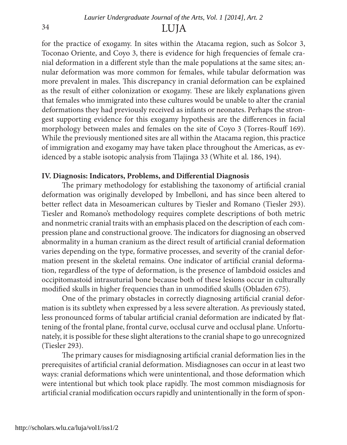### <sup>34</sup> LUJA

for the practice of exogamy. In sites within the Atacama region, such as Solcor 3, Toconao Oriente, and Coyo 3, there is evidence for high frequencies of female cranial deformation in a diferent style than the male populations at the same sites; annular deformation was more common for females, while tabular deformation was more prevalent in males. This discrepancy in cranial deformation can be explained as the result of either colonization or exogamy. These are likely explanations given that females who immigrated into these cultures would be unable to alter the cranial deformations they had previously received as infants or neonates. Perhaps the strongest supporting evidence for this exogamy hypothesis are the diferences in facial morphology between males and females on the site of Coyo 3 (Torres-Rouf 169). While the previously mentioned sites are all within the Atacama region, this practice of immigration and exogamy may have taken place throughout the Americas, as evidenced by a stable isotopic analysis from Tlajinga 33 (White et al. 186, 194).

### **IV. Diagnosis: Indicators, Problems, and Diferential Diagnosis**

The primary methodology for establishing the taxonomy of artificial cranial deformation was originally developed by Imbelloni, and has since been altered to better refect data in Mesoamerican cultures by Tiesler and Romano (Tiesler 293). Tiesler and Romano's methodology requires complete descriptions of both metric and nonmetric cranial traits with an emphasis placed on the description of each compression plane and constructional groove. The indicators for diagnosing an observed abnormality in a human cranium as the direct result of artifcial cranial deformation varies depending on the type, formative processes, and severity of the cranial deformation present in the skeletal remains. One indicator of artifcial cranial deformation, regardless of the type of deformation, is the presence of lambdoid ossicles and occipitomastoid intrasuturial bone because both of these lesions occur in culturally modifed skulls in higher frequencies than in unmodifed skulls (Obladen 675).

One of the primary obstacles in correctly diagnosing artifcial cranial deformation is its subtlety when expressed by a less severe alteration. As previously stated, less pronounced forms of tabular artifcial cranial deformation are indicated by fattening of the frontal plane, frontal curve, occlusal curve and occlusal plane. Unfortunately, it is possible for these slight alterations to the cranial shape to go unrecognized (Tiesler 293).

The primary causes for misdiagnosing artificial cranial deformation lies in the prerequisites of artifcial cranial deformation. Misdiagnoses can occur in at least two ways: cranial deformations which were unintentional, and those deformation which were intentional but which took place rapidly. The most common misdiagnosis for artifcial cranial modifcation occurs rapidly and unintentionally in the form of spon-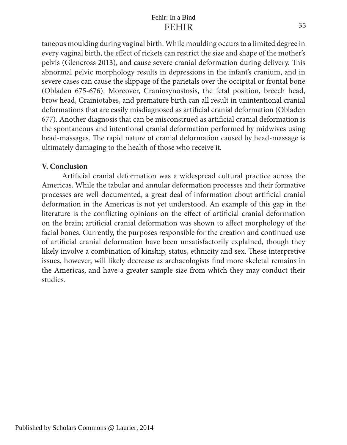### FEHIR Fehir: In a Bind

taneous moulding during vaginal birth. While moulding occurs to a limited degree in every vaginal birth, the efect of rickets can restrict the size and shape of the mother's pelvis (Glencross 2013), and cause severe cranial deformation during delivery. Tis abnormal pelvic morphology results in depressions in the infant's cranium, and in severe cases can cause the slippage of the parietals over the occipital or frontal bone (Obladen 675-676). Moreover, Craniosynostosis, the fetal position, breech head, brow head, Crainiotabes, and premature birth can all result in unintentional cranial deformations that are easily misdiagnosed as artifcial cranial deformation (Obladen 677). Another diagnosis that can be misconstrued as artifcial cranial deformation is the spontaneous and intentional cranial deformation performed by midwives using head-massages. The rapid nature of cranial deformation caused by head-massage is ultimately damaging to the health of those who receive it.

### **V. Conclusion**

Artifcial cranial deformation was a widespread cultural practice across the Americas. While the tabular and annular deformation processes and their formative processes are well documented, a great deal of information about artifcial cranial deformation in the Americas is not yet understood. An example of this gap in the literature is the conficting opinions on the efect of artifcial cranial deformation on the brain; artifcial cranial deformation was shown to afect morphology of the facial bones. Currently, the purposes responsible for the creation and continued use of artifcial cranial deformation have been unsatisfactorily explained, though they likely involve a combination of kinship, status, ethnicity and sex. These interpretive issues, however, will likely decrease as archaeologists fnd more skeletal remains in the Americas, and have a greater sample size from which they may conduct their studies.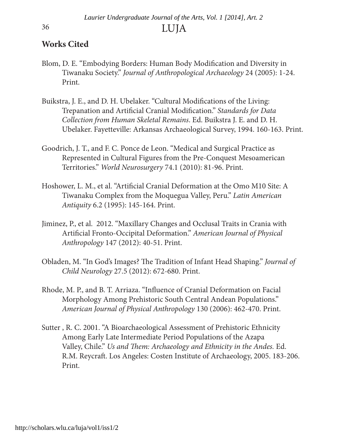### **Works Cited**

- Blom, D. E. "Embodying Borders: Human Body Modifcation and Diversity in Tiwanaku Society." Journal of Anthropological Archaeology 24 (2005): 1-24. Print.
- Buikstra, J. E., and D. H. Ubelaker. "Cultural Modifcations of the Living: Trepanation and Artifcial Cranial Modifcation." Standards for Data Collection from Human Skeletal Remains. Ed. Buikstra J. E. and D. H. Ubelaker. Fayetteville: Arkansas Archaeological Survey, 1994. 160-163. Print.
- Goodrich, J. T., and F. C. Ponce de Leon. "Medical and Surgical Practice as Represented in Cultural Figures from the Pre-Conquest Mesoamerican Territories." World Neurosurgery 74.1 (2010): 81-96. Print.
- Hoshower, L. M., et al. "Artifcial Cranial Deformation at the Omo M10 Site: A Tiwanaku Complex from the Moquegua Valley, Peru." Latin American Antiquity 6.2 (1995): 145-164. Print.
- Jiminez, P., et al. 2012. "Maxillary Changes and Occlusal Traits in Crania with Artifcial Fronto-Occipital Deformation." American Journal of Physical Anthropology 147 (2012): 40-51. Print.
- Obladen, M. "In God's Images? The Tradition of Infant Head Shaping." Journal of Child Neurology 27.5 (2012): 672-680. Print.
- Rhode, M. P., and B. T. Arriaza. "Infuence of Cranial Deformation on Facial Morphology Among Prehistoric South Central Andean Populations." American Journal of Physical Anthropology 130 (2006): 462-470. Print.
- Sutter , R. C. 2001. "A Bioarchaeological Assessment of Prehistoric Ethnicity Among Early Late Intermediate Period Populations of the Azapa Valley, Chile." Us and Them: Archaeology and Ethnicity in the Andes. Ed. R.M. Reycraf. Los Angeles: Costen Institute of Archaeology, 2005. 183-206. Print.